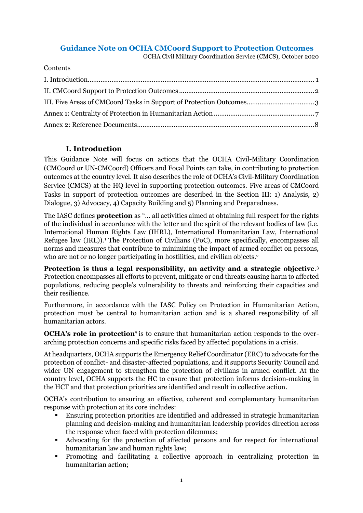# **Guidance Note on OCHA CMCoord Support to Protection Outcomes**

OCHA Civil Military Coordination Service (CMCS), October 2020

Contents

# **I. Introduction**

<span id="page-0-0"></span>This Guidance Note will focus on actions that the OCHA Civil-Military Coordination (CMCoord or UN-CMCoord) Officers and Focal Points can take, in contributing to protection outcomes at the country level. It also describes the role of OCHA's Civil-Military Coordination Service (CMCS) at the HQ level in supporting protection outcomes. Five areas of CMCoord Tasks in support of protection outcomes are described in the Section III: 1) Analysis, 2) Dialogue, 3) Advocacy, 4) Capacity Building and 5) Planning and Preparedness.

The IASC defines **protection** as "… all activities aimed at obtaining full respect for the rights of the individual in accordance with the letter and the spirit of the relevant bodies of law (i.e. International Human Rights Law (IHRL), International Humanitarian Law, International Refugee law (IRL)).<sup>1</sup> The Protection of Civilians (PoC), more specifically, encompasses all norms and measures that contribute to minimizing the impact of armed conflict on persons, who are not or no longer participating in hostilities, and civilian objects.<sup>2</sup>

**Protection is thus a legal responsibility, an activity and a strategic objective**. 3 Protection encompasses all efforts to prevent, mitigate or end threats causing harm to affected populations, reducing people's vulnerability to threats and reinforcing their capacities and their resilience.

Furthermore, in accordance with the IASC Policy on Protection in Humanitarian Action, protection must be central to humanitarian action and is a shared responsibility of all humanitarian actors.

**OCHA's role in protection**<sup>4</sup> is to ensure that humanitarian action responds to the overarching protection concerns and specific risks faced by affected populations in a crisis.

At headquarters, OCHA supports the Emergency Relief Coordinator (ERC) to advocate for the protection of conflict- and disaster-affected populations, and it supports Security Council and wider UN engagement to strengthen the protection of civilians in armed conflict. At the country level, OCHA supports the HC to ensure that protection informs decision-making in the HCT and that protection priorities are identified and result in collective action.

OCHA's contribution to ensuring an effective, coherent and complementary humanitarian response with protection at its core includes:

- Ensuring protection priorities are identified and addressed in strategic humanitarian planning and decision-making and humanitarian leadership provides direction across the response when faced with protection dilemmas;
- Advocating for the protection of affected persons and for respect for international humanitarian law and human rights law;
- Promoting and facilitating a collective approach in centralizing protection in humanitarian action;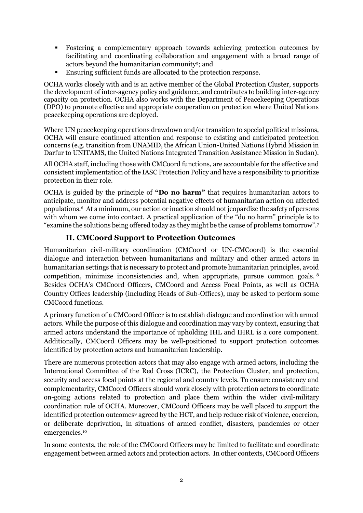- Fostering a complementary approach towards achieving protection outcomes by facilitating and coordinating collaboration and engagement with a broad range of actors beyond the humanitarian community<sup>5</sup>; and
- Ensuring sufficient funds are allocated to the protection response.

OCHA works closely with and is an active member of the Global Protection Cluster, supports the development of inter-agency policy and guidance, and contributes to building inter-agency capacity on protection. OCHA also works with the Department of Peacekeeping Operations (DPO) to promote effective and appropriate cooperation on protection where United Nations peacekeeping operations are deployed.

Where UN peacekeeping operations drawdown and/or transition to special political missions, OCHA will ensure continued attention and response to existing and anticipated protection concerns (e.g. transition from UNAMID, the African Union-United Nations Hybrid Mission in Darfur to UNITAMS, the United Nations Integrated Transition Assistance Mission in Sudan).

All OCHA staff, including those with CMCoord functions, are accountable for the effective and consistent implementation of the IASC Protection Policy and have a responsibility to prioritize protection in their role.

OCHA is guided by the principle of **"Do no harm"** that requires humanitarian actors to anticipate, monitor and address potential negative effects of humanitarian action on affected populations. <sup>6</sup> At a minimum, our action or inaction should not jeopardize the safety of persons with whom we come into contact. A practical application of the "do no harm" principle is to "examine the solutions being offered today as they might be the cause of problems tomorrow".<sup>7</sup>

# **II. CMCoord Support to Protection Outcomes**

<span id="page-1-0"></span>Humanitarian civil-military coordination (CMCoord or UN-CMCoord) is the essential dialogue and interaction between humanitarians and military and other armed actors in humanitarian settings that is necessary to protect and promote humanitarian principles, avoid competition, minimize inconsistencies and, when appropriate, pursue common goals. <sup>8</sup> Besides OCHA's CMCoord Officers, CMCoord and Access Focal Points, as well as OCHA Country Offices leadership (including Heads of Sub-Offices), may be asked to perform some CMCoord functions.

A primary function of a CMCoord Officer is to establish dialogue and coordination with armed actors. While the purpose of this dialogue and coordination may vary by context, ensuring that armed actors understand the importance of upholding IHL and IHRL is a core component. Additionally, CMCoord Officers may be well-positioned to support protection outcomes identified by protection actors and humanitarian leadership.

There are numerous protection actors that may also engage with armed actors, including the International Committee of the Red Cross (ICRC), the Protection Cluster, and protection, security and access focal points at the regional and country levels. To ensure consistency and complementarity, CMCoord Officers should work closely with protection actors to coordinate on-going actions related to protection and place them within the wider civil-military coordination role of OCHA. Moreover, CMCoord Officers may be well placed to support the identified protection outcomes<sup>9</sup> agreed by the HCT, and help reduce risk of violence, coercion, or deliberate deprivation, in situations of armed conflict, disasters, pandemics or other emergencies. 10

In some contexts, the role of the CMCoord Officers may be limited to facilitate and coordinate engagement between armed actors and protection actors. In other contexts, CMCoord Officers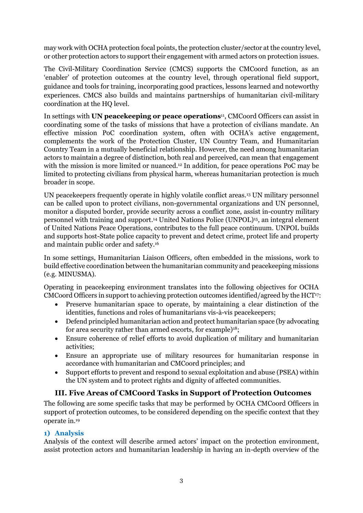may work with OCHA protection focal points, the protection cluster/sector at the country level, or other protection actors to support their engagement with armed actors on protection issues.

The Civil-Military Coordination Service (CMCS) supports the CMCoord function, as an 'enabler' of protection outcomes at the country level, through operational field support, guidance and tools for training, incorporating good practices, lessons learned and noteworthy experiences. CMCS also builds and maintains partnerships of humanitarian civil-military coordination at the HQ level.

In settings with **UN peacekeeping or peace operations**11, CMCoord Officers can assist in coordinating some of the tasks of missions that have a protection of civilians mandate. An effective mission PoC coordination system, often with OCHA's active engagement, complements the work of the Protection Cluster, UN Country Team, and Humanitarian Country Team in a mutually beneficial relationship. However, the need among humanitarian actors to maintain a degree of distinction, both real and perceived, can mean that engagement with the mission is more limited or nuanced. <sup>12</sup> In addition, for peace operations PoC may be limited to protecting civilians from physical harm, whereas humanitarian protection is much broader in scope.

UN peacekeepers frequently operate in highly volatile conflict areas.<sup>13</sup> UN military personnel can be called upon to protect civilians, non-governmental organizations and UN personnel, monitor a disputed border, provide security across a conflict zone, assist in-country military personnel with training and support. <sup>14</sup> United Nations Police (UNPOL)<sup>15</sup> , an integral element of United Nations Peace Operations, contributes to the full peace continuum. UNPOL builds and supports host-State police capacity to prevent and detect crime, protect life and property and maintain public order and safety. 16

In some settings, Humanitarian Liaison Officers, often embedded in the missions, work to build effective coordination between the humanitarian community and peacekeeping missions (e.g. MINUSMA).

Operating in peacekeeping environment translates into the following objectives for OCHA CMCoord Officers in support to achieving protection outcomes identified/agreed by the HCT<sup>17</sup>:

- Preserve humanitarian space to operate, by maintaining a clear distinction of the identities, functions and roles of humanitarians vis-à-vis peacekeepers;
- Defend principled humanitarian action and protect humanitarian space (by advocating for area security rather than armed escorts, for example) 18;
- Ensure coherence of relief efforts to avoid duplication of military and humanitarian activities;
- Ensure an appropriate use of military resources for humanitarian response in accordance with humanitarian and CMCoord principles; and
- Support efforts to prevent and respond to sexual exploitation and abuse (PSEA) within the UN system and to protect rights and dignity of affected communities.

# **III. Five Areas of CMCoord Tasks in Support of Protection Outcomes**

<span id="page-2-0"></span>The following are some specific tasks that may be performed by OCHA CMCoord Officers in support of protection outcomes, to be considered depending on the specific context that they operate in.<sup>19</sup>

# **1) Analysis**

Analysis of the context will describe armed actors' impact on the protection environment, assist protection actors and humanitarian leadership in having an in-depth overview of the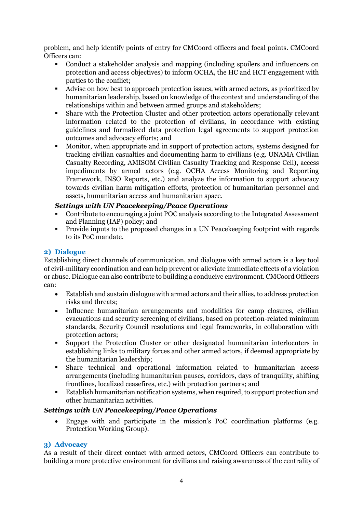problem, and help identify points of entry for CMCoord officers and focal points. CMCoord Officers can:

- Conduct a stakeholder analysis and mapping (including spoilers and influencers on protection and access objectives) to inform OCHA, the HC and HCT engagement with parties to the conflict;
- Advise on how best to approach protection issues, with armed actors, as prioritized by humanitarian leadership, based on knowledge of the context and understanding of the relationships within and between armed groups and stakeholders;
- Share with the Protection Cluster and other protection actors operationally relevant information related to the protection of civilians, in accordance with existing guidelines and formalized data protection legal agreements to support protection outcomes and advocacy efforts; and
- Monitor, when appropriate and in support of protection actors, systems designed for tracking civilian casualties and documenting harm to civilians (e.g. UNAMA Civilian Casualty Recording, AMISOM Civilian Casualty Tracking and Response Cell), access impediments by armed actors (e.g. OCHA Access Monitoring and Reporting Framework, INSO Reports, etc.) and analyze the information to support advocacy towards civilian harm mitigation efforts, protection of humanitarian personnel and assets, humanitarian access and humanitarian space.

### *Settings with UN Peacekeeping/Peace Operations*

- Contribute to encouraging a joint POC analysis according to the Integrated Assessment and Planning (IAP) policy; and
- Provide inputs to the proposed changes in a UN Peacekeeping footprint with regards to its PoC mandate.

### **2) Dialogue**

Establishing direct channels of communication, and dialogue with armed actors is a key tool of civil-military coordination and can help prevent or alleviate immediate effects of a violation or abuse. Dialogue can also contribute to building a conducive environment. CMCoord Officers can:

- Establish and sustain dialogue with armed actors and their allies, to address protection risks and threats;
- Influence humanitarian arrangements and modalities for camp closures, civilian evacuations and security screening of civilians, based on protection-related minimum standards, Security Council resolutions and legal frameworks, in collaboration with protection actors;
- Support the Protection Cluster or other designated humanitarian interlocuters in establishing links to military forces and other armed actors, if deemed appropriate by the humanitarian leadership;
- Share technical and operational information related to humanitarian access arrangements (including humanitarian pauses, corridors, days of tranquility, shifting frontlines, localized ceasefires, etc.) with protection partners; and
- Establish humanitarian notification systems, when required, to support protection and other humanitarian activities.

### *Settings with UN Peacekeeping/Peace Operations*

• Engage with and participate in the mission's PoC coordination platforms (e.g. Protection Working Group).

## **3) Advocacy**

As a result of their direct contact with armed actors, CMCoord Officers can contribute to building a more protective environment for civilians and raising awareness of the centrality of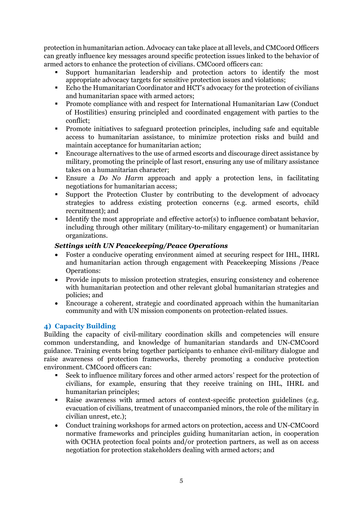protection in humanitarian action. Advocacy can take place at all levels, and CMCoord Officers can greatly influence key messages around specific protection issues linked to the behavior of armed actors to enhance the protection of civilians. CMCoord officers can:

- Support humanitarian leadership and protection actors to identify the most appropriate advocacy targets for sensitive protection issues and violations;
- Echo the Humanitarian Coordinator and HCT's advocacy for the protection of civilians and humanitarian space with armed actors;
- Promote compliance with and respect for International Humanitarian Law (Conduct of Hostilities) ensuring principled and coordinated engagement with parties to the conflict;
- Promote initiatives to safeguard protection principles, including safe and equitable access to humanitarian assistance, to minimize protection risks and build and maintain acceptance for humanitarian action;
- Encourage alternatives to the use of armed escorts and discourage direct assistance by military, promoting the principle of last resort, ensuring any use of military assistance takes on a humanitarian character;
- Ensure a *Do No Harm* approach and apply a protection lens, in facilitating negotiations for humanitarian access;
- Support the Protection Cluster by contributing to the development of advocacy strategies to address existing protection concerns (e.g. armed escorts, child recruitment); and
- Identify the most appropriate and effective actor(s) to influence combatant behavior, including through other military (military-to-military engagement) or humanitarian organizations.

## *Settings with UN Peacekeeping/Peace Operations*

- Foster a conducive operating environment aimed at securing respect for IHL, IHRL and humanitarian action through engagement with Peacekeeping Missions /Peace Operations:
- Provide inputs to mission protection strategies, ensuring consistency and coherence with humanitarian protection and other relevant global humanitarian strategies and policies; and
- Encourage a coherent, strategic and coordinated approach within the humanitarian community and with UN mission components on protection-related issues.

# **4) Capacity Building**

Building the capacity of civil-military coordination skills and competencies will ensure common understanding, and knowledge of humanitarian standards and UN-CMCoord guidance. Training events bring together participants to enhance civil-military dialogue and raise awareness of protection frameworks, thereby promoting a conducive protection environment. CMCoord officers can:

- Seek to influence military forces and other armed actors' respect for the protection of civilians, for example, ensuring that they receive training on IHL, IHRL and humanitarian principles;
- Raise awareness with armed actors of context-specific protection guidelines (e.g. evacuation of civilians, treatment of unaccompanied minors, the role of the military in civilian unrest, etc.);
- Conduct training workshops for armed actors on protection, access and UN-CMCoord normative frameworks and principles guiding humanitarian action, in cooperation with OCHA protection focal points and/or protection partners, as well as on access negotiation for protection stakeholders dealing with armed actors; and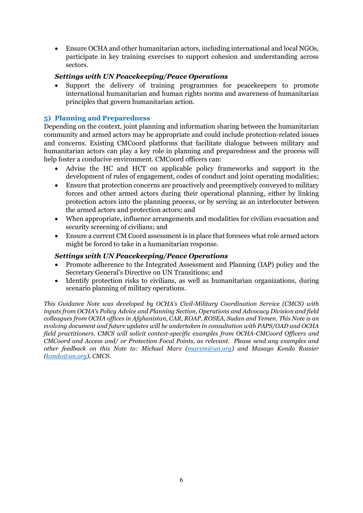• Ensure OCHA and other humanitarian actors, including international and local NGOs, participate in key training exercises to support cohesion and understanding across sectors.

## *Settings with UN Peacekeeping/Peace Operations*

Support the delivery of training programmes for peacekeepers to promote international humanitarian and human rights norms and awareness of humanitarian principles that govern humanitarian action.

## **5) Planning and Preparedness**

Depending on the context, joint planning and information sharing between the humanitarian community and armed actors may be appropriate and could include protection-related issues and concerns. Existing CMCoord platforms that facilitate dialogue between military and humanitarian actors can play a key role in planning and preparedness and the process will help foster a conducive environment. CMCoord officers can:

- Advise the HC and HCT on applicable policy frameworks and support in the development of rules of engagement, codes of conduct and joint operating modalities;
- Ensure that protection concerns are proactively and preemptively conveyed to military forces and other armed actors during their operational planning, either by linking protection actors into the planning process, or by serving as an interlocuter between the armed actors and protection actors; and
- When appropriate, influence arrangements and modalities for civilian evacuation and security screening of civilians; and
- Ensure a current CM Coord assessment is in place that foresees what role armed actors might be forced to take in a humanitarian response.

## *Settings with UN Peacekeeping/Peace Operations*

- Promote adherence to the Integrated Assessment and Planning (IAP) policy and the Secretary General's Directive on UN Transitions; and
- Identify protection risks to civilians, as well as humanitarian organizations, during scenario planning of military operations.

*This Guidance Note was developed by OCHA's Civil-Military Coordination Service (CMCS) with inputs from OCHA's Policy Advice and Planning Section, Operations and Advocacy Division and field colleagues from OCHA offices in Afghanistan, CAR, ROAP, ROSEA, Sudan and Yemen. This Note is an evolving document and future updates will be undertaken in consultation with PAPS/OAD and OCHA field practitioners. CMCS will solicit context-specific examples from OCHA-CMCoord Officers and CMCoord and Access and/ or Protection Focal Points, as relevant. Please send any examples and other feedback on this Note to: Michael Marx [\(marxm@un.org\)](mailto:marxm@un.org) and Masayo Kondo Rossier [\(kondo@un.org\)](mailto:kondo@un.org), CMCS.*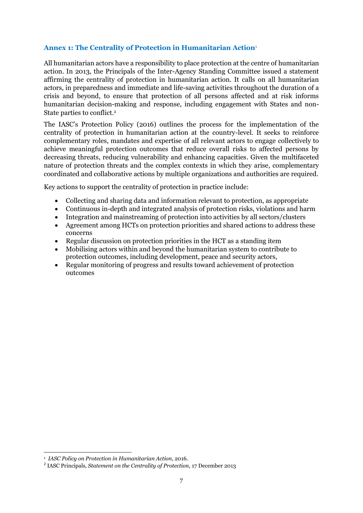## <span id="page-6-0"></span>**Annex 1: The Centrality of Protection in Humanitarian Action**<sup>1</sup>

All humanitarian actors have a responsibility to place protection at the centre of humanitarian action. In 2013, the Principals of the Inter-Agency Standing Committee issued a statement affirming the centrality of protection in humanitarian action. It calls on all humanitarian actors, in preparedness and immediate and life-saving activities throughout the duration of a crisis and beyond, to ensure that protection of all persons affected and at risk informs humanitarian decision-making and response, including engagement with States and non-State parties to conflict. 2

The IASC's Protection Policy (2016) outlines the process for the implementation of the centrality of protection in humanitarian action at the country-level. It seeks to reinforce complementary roles, mandates and expertise of all relevant actors to engage collectively to achieve meaningful protection outcomes that reduce overall risks to affected persons by decreasing threats, reducing vulnerability and enhancing capacities. Given the multifaceted nature of protection threats and the complex contexts in which they arise, complementary coordinated and collaborative actions by multiple organizations and authorities are required.

Key actions to support the centrality of protection in practice include:

- Collecting and sharing data and information relevant to protection, as appropriate
- Continuous in-depth and integrated analysis of protection risks, violations and harm
- Integration and mainstreaming of protection into activities by all sectors/clusters
- Agreement among HCTs on protection priorities and shared actions to address these concerns
- Regular discussion on protection priorities in the HCT as a standing item
- Mobilising actors within and beyond the humanitarian system to contribute to protection outcomes, including development, peace and security actors,
- Regular monitoring of progress and results toward achievement of protection outcomes

<sup>1</sup> *IASC Policy on Protection in Humanitarian Action*, 2016.

<sup>2</sup> IASC Principals, *Statement on the Centrality of Protection*, 17 December 2013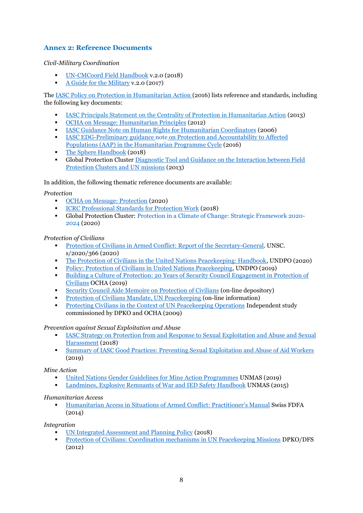## <span id="page-7-0"></span>**Annex 2: Reference Documents**

### *Civil-Military Coordination*

- [UN-CMCoord Field Handbook](https://drive.google.com/file/d/1VaH4zo-teQECk1VCd2t4CW9QsyFJdoeu/view) v.2.0 (2018)
- [A Guide for the Military](https://www.unocha.org/sites/unocha/files/Guide%20for%20the%20Military%20v2.pdf) v.2.0 (2017)

The [IASC Policy on Protection in Humanitarian Action](https://interagencystandingcommittee.org/system/files/iasc_policy_on_protection_in_humanitarian_action.pdf) (2016) lists reference and standards, including the following key documents:

- IASC Principals Statement [on the Centrality of Protection in Humanitarian Action](https://interagencystandingcommittee.org/system/files/iasc_policy_on_protection_in_humanitarian_action.pdf) (2013)
- [OCHA on Message: Humanitarian Principles](https://www.unocha.org/sites/dms/Documents/OOM-humanitarianprinciples_eng_June12.pdf) (2012)
- [IASC Guidance Note on Human Rights for Humanitarian Coordinators](https://interagencystandingcommittee.org/system/files/legacy_files/human_rights_guidance_note_for_humanitarian_coordinators.pdf) (2006)
- IASC EDG-Preliminary guidance note [on Protection and Accountability to Affected](https://interagencystandingcommittee.org/system/files/edg_-aap_protection_guidance_note_2016.pdf)  [Populations \(AAP\) in the Humanitarian Programme Cycle](https://interagencystandingcommittee.org/system/files/edg_-aap_protection_guidance_note_2016.pdf) (2016)
- [The Sphere](https://handbook.spherestandards.org/en/sphere/#ch001) Handbook (2018)
- Global Protection Cluster [Diagnostic Tool and Guidance on the Interaction between Field](https://www.globalprotectioncluster.org/_assets/files/tools_and_guidance/GPC_Diagnostic_Tool_Interaction_UN_Missions_2013_EN.pdf)  [Protection Clusters and UN missions](https://www.globalprotectioncluster.org/_assets/files/tools_and_guidance/GPC_Diagnostic_Tool_Interaction_UN_Missions_2013_EN.pdf) (2013)

In addition, the following thematic reference documents are available:

#### *Protection*

- [OCHA on Message: Protection](https://www.unocha.org/sites/unocha/files/OoM_Protection.pdf) (2020)
- [ICRC Professional Standards for Protection Work](file:///E:/2020%20CMCS/Protection-POC/0999_002_Protection_UPD_04_2018_WEB.pdf) (2018)
- Global Protection Cluster: [Protection in a Climate of Change: Strategic Framework 2020-](https://www.globalprotectioncluster.org/wp-content/uploads/GPC-Strategic-Framework_digital_version-1.pdf) [2024](https://www.globalprotectioncluster.org/wp-content/uploads/GPC-Strategic-Framework_digital_version-1.pdf) (2020)

#### *Protection of Civilians*

- [Protection of Civilians in Armed Conflict: Report of the Secretary-General.](https://reliefweb.int/sites/reliefweb.int/files/resources/S_2020_366_E.pdf) UNSC. s/2020/366 (2020)
- [The Protection of Civilians in the United Nations Peacekeeping: Handbook,](https://peacekeeping.un.org/sites/default/files/dpo_poc_handbook_final_as_printed.pdf) UNDPO (2020)
- [Policy: Protection of Civilians in United Nations Peacekeeping,](https://peacekeeping.un.org/sites/default/files/poc_policy_2019_.pdf) UNDPO (2019)
- [Building a Culture of Protection: 20 Years of Security Council Engagement in Protection of](https://www.unocha.org/sites/unocha/files/Building%20a%20culture%20of%20protection.pdf)  [Civilians](https://www.unocha.org/sites/unocha/files/Building%20a%20culture%20of%20protection.pdf) OCHA (2019)
- [Security Council Aide Memoire on Protection of Civilians](https://poc-aide-memoire.unocha.org/) (on-line depository)
- [Protection of Civilians Mandate, UN Peacekeeping](https://peacekeeping.un.org/en/protection-of-civilians-mandate) (on-line information)
- [Protecting Civilians in the Context of UN Peacekeeping Operations](https://reliefweb.int/sites/reliefweb.int/files/resources/B752FF2063E282B08525767100751B90-unocha_protecting_nov2009.pdf) Independent study commissioned by DPKO and OCHA (2009)

#### *Prevention against Sexual Exploitation and Abuse*

- **EXECUTE 18 IASC Strategy on [Protection from and Response to Sexual Exploitation and Abuse](https://interagencystandingcommittee.org/system/files/181101_iasc_champions_sea_sh_strategy_final.pdf) and Sexual** Harassment (2018)
- **[Summary of IASC Good Practices: Preventing Sexual Exploitation and Abuse of Aid Workers](https://interagencystandingcommittee.org/system/files/iasc_summary_of_good_practices_on_psea_and_sha_2019.pdf)** (2019)

*Mine Action*

- [United Nations Gender Guidelines for Mine Action Programmes](https://unmas.org/sites/default/files/mine_action_gender_guidelines_web_0.pdf) UNMAS (2019)
- **[Landmines, Explosive Remnants of War and IED Safety Handbook](https://unmas.org/sites/default/files/handbook_english.pdf) UNMAS (2015)**

#### *Humanitarian Access*

▪ [Humanitarian Access in Situations of](https://www.eda.admin.ch/dam/eda/en/documents/aussenpolitik/voelkerrecht/Human-access-in-sit-of-armed-conflict-manual_EN.pdf) Armed Conflict: Practitioner's Manual Swiss FDFA (2014)

*Integration*

- [UN Integrated Assessment and Planning Policy](https://unsdg.un.org/sites/default/files/UN-Policy-on-Integrated-Assessment-and-Planning_FINAL_9-April-2013.pdf) (2018)
- [Protection of Civilians: Coordination mechanisms in UN Peacekeeping Missions](https://protectionofcivilians.org/wp/wp-content/uploads/2018/03/Comparative-study-and-toolkit_Protection-of-Civilians-Coordination-Mechanisms-in-UN-Peacekeeping.pdf) DPKO/DFS (2012)